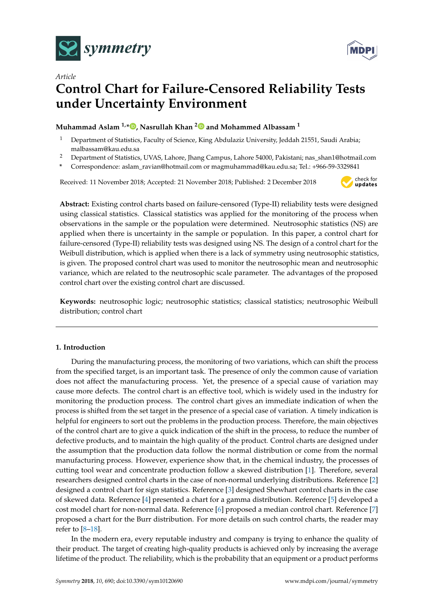



# *Article* **Control Chart for Failure-Censored Reliability Tests under Uncertainty Environment**

## **Muhammad Aslam 1,\* [,](https://orcid.org/0000-0003-0644-1950) Nasrullah Khan [2](https://orcid.org/0000-0003-0232-3260) and Mohammed Albassam <sup>1</sup>**

- <sup>1</sup> Department of Statistics, Faculty of Science, King Abdulaziz University, Jeddah 21551, Saudi Arabia; malbassam@kau.edu.sa
- <sup>2</sup> Department of Statistics, UVAS, Lahore, Jhang Campus, Lahore 54000, Pakistani; nas\_shan1@hotmail.com
- **\*** Correspondence: aslam\_ravian@hotmail.com or magmuhammad@kau.edu.sa; Tel.: +966-59-3329841

Received: 11 November 2018; Accepted: 21 November 2018; Published: 2 December 2018



**Abstract:** Existing control charts based on failure-censored (Type-II) reliability tests were designed using classical statistics. Classical statistics was applied for the monitoring of the process when observations in the sample or the population were determined. Neutrosophic statistics (NS) are applied when there is uncertainty in the sample or population. In this paper, a control chart for failure-censored (Type-II) reliability tests was designed using NS. The design of a control chart for the Weibull distribution, which is applied when there is a lack of symmetry using neutrosophic statistics, is given. The proposed control chart was used to monitor the neutrosophic mean and neutrosophic variance, which are related to the neutrosophic scale parameter. The advantages of the proposed control chart over the existing control chart are discussed.

**Keywords:** neutrosophic logic; neutrosophic statistics; classical statistics; neutrosophic Weibull distribution; control chart

### **1. Introduction**

During the manufacturing process, the monitoring of two variations, which can shift the process from the specified target, is an important task. The presence of only the common cause of variation does not affect the manufacturing process. Yet, the presence of a special cause of variation may cause more defects. The control chart is an effective tool, which is widely used in the industry for monitoring the production process. The control chart gives an immediate indication of when the process is shifted from the set target in the presence of a special case of variation. A timely indication is helpful for engineers to sort out the problems in the production process. Therefore, the main objectives of the control chart are to give a quick indication of the shift in the process, to reduce the number of defective products, and to maintain the high quality of the product. Control charts are designed under the assumption that the production data follow the normal distribution or come from the normal manufacturing process. However, experience show that, in the chemical industry, the processes of cutting tool wear and concentrate production follow a skewed distribution [\[1\]](#page-11-0). Therefore, several researchers designed control charts in the case of non-normal underlying distributions. Reference [\[2\]](#page-11-1) designed a control chart for sign statistics. Reference [\[3\]](#page-11-2) designed Shewhart control charts in the case of skewed data. Reference [\[4\]](#page-11-3) presented a chart for a gamma distribution. Reference [\[5\]](#page-11-4) developed a cost model chart for non-normal data. Reference [\[6\]](#page-11-5) proposed a median control chart. Reference [\[7\]](#page-11-6) proposed a chart for the Burr distribution. For more details on such control charts, the reader may refer to [\[8](#page-11-7)[–18\]](#page-11-8).

In the modern era, every reputable industry and company is trying to enhance the quality of their product. The target of creating high-quality products is achieved only by increasing the average lifetime of the product. The reliability, which is the probability that an equipment or a product performs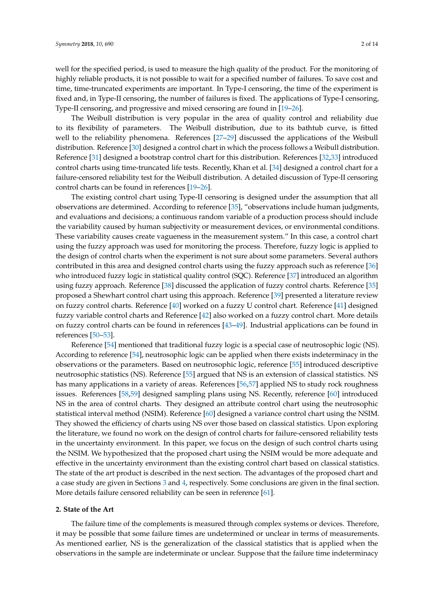well for the specified period, is used to measure the high quality of the product. For the monitoring of highly reliable products, it is not possible to wait for a specified number of failures. To save cost and time, time-truncated experiments are important. In Type-I censoring, the time of the experiment is fixed and, in Type-II censoring, the number of failures is fixed. The applications of Type-I censoring, Type-II censoring, and progressive and mixed censoring are found in [\[19](#page-11-9)[–26\]](#page-12-0).

The Weibull distribution is very popular in the area of quality control and reliability due to its flexibility of parameters. The Weibull distribution, due to its bathtub curve, is fitted well to the reliability phenomena. References [\[27](#page-12-1)[–29\]](#page-12-2) discussed the applications of the Weibull distribution. Reference [\[30\]](#page-12-3) designed a control chart in which the process follows a Weibull distribution. Reference [\[31\]](#page-12-4) designed a bootstrap control chart for this distribution. References [\[32,](#page-12-5)[33\]](#page-12-6) introduced control charts using time-truncated life tests. Recently, Khan et al. [\[34\]](#page-12-7) designed a control chart for a failure-censored reliability test for the Weibull distribution. A detailed discussion of Type-II censoring control charts can be found in references [\[19](#page-11-9)[–26\]](#page-12-0).

The existing control chart using Type-II censoring is designed under the assumption that all observations are determined. According to reference [\[35\]](#page-12-8), "observations include human judgments, and evaluations and decisions; a continuous random variable of a production process should include the variability caused by human subjectivity or measurement devices, or environmental conditions. These variability causes create vagueness in the measurement system." In this case, a control chart using the fuzzy approach was used for monitoring the process. Therefore, fuzzy logic is applied to the design of control charts when the experiment is not sure about some parameters. Several authors contributed in this area and designed control charts using the fuzzy approach such as reference [\[36\]](#page-12-9) who introduced fuzzy logic in statistical quality control (SQC). Reference [\[37\]](#page-12-10) introduced an algorithm using fuzzy approach. Reference [\[38\]](#page-12-11) discussed the application of fuzzy control charts. Reference [\[35\]](#page-12-8) proposed a Shewhart control chart using this approach. Reference [\[39\]](#page-12-12) presented a literature review on fuzzy control charts. Reference [\[40\]](#page-12-13) worked on a fuzzy U control chart. Reference [\[41\]](#page-12-14) designed fuzzy variable control charts and Reference [\[42\]](#page-12-15) also worked on a fuzzy control chart. More details on fuzzy control charts can be found in references [\[43](#page-12-16)[–49\]](#page-13-0). Industrial applications can be found in references [\[50–](#page-13-1)[53\]](#page-13-2).

Reference [\[54\]](#page-13-3) mentioned that traditional fuzzy logic is a special case of neutrosophic logic (NS). According to reference [\[54\]](#page-13-3), neutrosophic logic can be applied when there exists indeterminacy in the observations or the parameters. Based on neutrosophic logic, reference [\[55\]](#page-13-4) introduced descriptive neutrosophic statistics (NS). Reference [\[55\]](#page-13-4) argued that NS is an extension of classical statistics. NS has many applications in a variety of areas. References [\[56,](#page-13-5)[57\]](#page-13-6) applied NS to study rock roughness issues. References [\[58](#page-13-7)[,59\]](#page-13-8) designed sampling plans using NS. Recently, reference [\[60\]](#page-13-9) introduced NS in the area of control charts. They designed an attribute control chart using the neutrosophic statistical interval method (NSIM). Reference [\[60\]](#page-13-9) designed a variance control chart using the NSIM. They showed the efficiency of charts using NS over those based on classical statistics. Upon exploring the literature, we found no work on the design of control charts for failure-censored reliability tests in the uncertainty environment. In this paper, we focus on the design of such control charts using the NSIM. We hypothesized that the proposed chart using the NSIM would be more adequate and effective in the uncertainty environment than the existing control chart based on classical statistics. The state of the art product is described in the next section. The advantages of the proposed chart and a case study are given in Sections [3](#page-6-0) and [4,](#page-8-0) respectively. Some conclusions are given in the final section. More details failure censored reliability can be seen in reference [\[61\]](#page-13-10).

#### **2. State of the Art**

The failure time of the complements is measured through complex systems or devices. Therefore, it may be possible that some failure times are undetermined or unclear in terms of measurements. As mentioned earlier, NS is the generalization of the classical statistics that is applied when the observations in the sample are indeterminate or unclear. Suppose that the failure time indeterminacy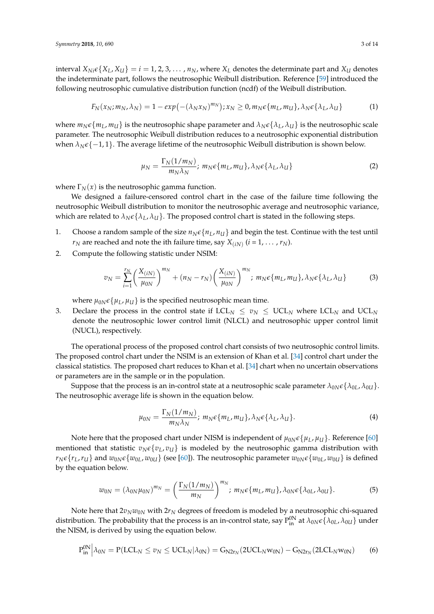interval  $X_{Ni}\epsilon\{X_L, X_U\} = i = 1, 2, 3, \dots, n_N$ , where  $X_L$  denotes the determinate part and  $X_U$  denotes the indeterminate part, follows the neutrosophic Weibull distribution. Reference [\[59\]](#page-13-8) introduced the following neutrosophic cumulative distribution function (ncdf) of the Weibull distribution.

$$
F_N(x_N; m_N, \lambda_N) = 1 - exp(-(\lambda_N x_N)^{m_N}); x_N \ge 0, m_N \epsilon \{m_L, m_U\}, \lambda_N \epsilon \{\lambda_L, \lambda_U\}
$$
 (1)

where  $m_N \epsilon \{m_L, m_U\}$  is the neutrosophic shape parameter and  $\lambda_N \epsilon \{\lambda_L, \lambda_U\}$  is the neutrosophic scale parameter. The neutrosophic Weibull distribution reduces to a neutrosophic exponential distribution when  $\lambda_N \epsilon \{-1, 1\}$ . The average lifetime of the neutrosophic Weibull distribution is shown below.

$$
\mu_N = \frac{\Gamma_N(1/m_N)}{m_N \lambda_N}; \ m_N \epsilon \{m_L, m_U\}, \lambda_N \epsilon \{\lambda_L, \lambda_U\}
$$
 (2)

where  $\Gamma_N(x)$  is the neutrosophic gamma function.

We designed a failure-censored control chart in the case of the failure time following the neutrosophic Weibull distribution to monitor the neutrosophic average and neutrosophic variance, which are related to  $\lambda_N \epsilon \{\lambda_L, \lambda_U\}$ . The proposed control chart is stated in the following steps.

- 1. Choose a random sample of the size  $n_N \epsilon \{n_L, n_U\}$  and begin the test. Continue with the test until  $r_N$  are reached and note the ith failure time, say  $X_{(iN)}$   $(i = 1, \ldots, r_N).$
- 2. Compute the following statistic under NSIM:

$$
v_N = \sum_{i=1}^{r_N} \left(\frac{X_{(iN)}}{\mu_{0N}}\right)^{m_N} + (n_N - r_N) \left(\frac{X_{(iN)}}{\mu_{0N}}\right)^{m_N}; \ m_N \in \{m_L, m_U\}, \lambda_N \in \{\lambda_L, \lambda_U\}
$$
 (3)

where  $\mu_{0N} \epsilon \{\mu_L, \mu_U\}$  is the specified neutrosophic mean time.

3. Declare the process in the control state if  $LCL_N \le v_N \le UCL_N$  where  $LCL_N$  and  $UCL_N$ denote the neutrosophic lower control limit (NLCL) and neutrosophic upper control limit (NUCL), respectively.

The operational process of the proposed control chart consists of two neutrosophic control limits. The proposed control chart under the NSIM is an extension of Khan et al. [\[34\]](#page-12-7) control chart under the classical statistics. The proposed chart reduces to Khan et al. [\[34\]](#page-12-7) chart when no uncertain observations or parameters are in the sample or in the population.

Suppose that the process is an in-control state at a neutrosophic scale parameter  $\lambda_{0N}\epsilon\{\lambda_{0L},\lambda_{0U}\}.$ The neutrosophic average life is shown in the equation below.

$$
\mu_{0N} = \frac{\Gamma_N(1/m_N)}{m_N \lambda_N}; \ m_N \epsilon \{m_L, m_U\}, \lambda_N \epsilon \{\lambda_L, \lambda_U\}.
$$
 (4)

Note here that the proposed chart under NISM is independent of  $\mu_{0N} \epsilon \{\mu_L, \mu_U\}$ . Reference [\[60\]](#page-13-9) mentioned that statistic  $v_N \epsilon \{v_L, v_U\}$  is modeled by the neutrosophic gamma distribution with  $r_N \epsilon \{r_L, r_U\}$  and  $w_{0N} \epsilon \{w_{0L}, w_{0U}\}\$  (see [\[60\]](#page-13-9)). The neutrosophic parameter  $w_{0N} \epsilon \{w_{0L}, w_{0U}\}\$  is defined by the equation below.

$$
w_{0N} = \left(\lambda_{0N}\mu_{0N}\right)^{m_N} = \left(\frac{\Gamma_N(1/m_N)}{m_N}\right)^{m_N}; \ m_N \epsilon \{m_L, m_U\}, \lambda_{0N} \epsilon \{\lambda_{0L}, \lambda_{0U}\}.
$$
 (5)

Note here that  $2v_Nw_{0N}$  with  $2r_N$  degrees of freedom is modeled by a neutrosophic chi-squared distribution. The probability that the process is an in-control state, say  $P_{in}^{0N}$  at  $\lambda_{0N}\epsilon\{\lambda_{0L},\lambda_{0U}\}$  under the NISM, is derived by using the equation below.

$$
P_{in}^{0N} \Big| \lambda_{0N} = P( LCL_N \leq v_N \leq UCL_N | \lambda_{0N}) = G_{N2r_N}(2UCL_N w_{0N}) - G_{N2r_N}(2LCL_N w_{0N}) \qquad (6)
$$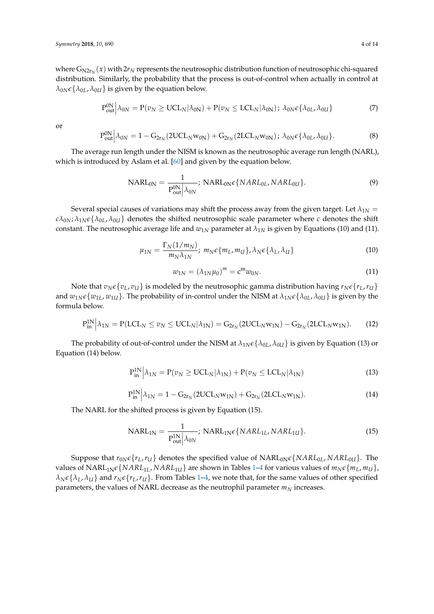where  $G_{N2r_N}(x)$  with  $2r_N$  represents the neutrosophic distribution function of neutrosophic chi-squared distribution. Similarly, the probability that the process is out-of-control when actually in control at  $\lambda_{0N} \epsilon \{\lambda_{0L}, \lambda_{0U}\}\$ is given by the equation below.

$$
P_{out}^{0N} \Big| \lambda_{0N} = P(v_N \ge UCL_N | \lambda_{0N}) + P(v_N \le LCL_N | \lambda_{0N}); \ \lambda_{0N} \epsilon \{ \lambda_{0L}, \lambda_{0U} \}
$$
 (7)

or

$$
P_{out}^{0N} \Big| \lambda_{0N} = 1 - G_{2r_N} (2UCL_N w_{0N}) + G_{2r_N} (2LCL_N w_{0N}); \ \lambda_{0N} \epsilon \{\lambda_{0L}, \lambda_{0U}\}. \tag{8}
$$

The average run length under the NISM is known as the neutrosophic average run length (NARL), which is introduced by Aslam et al. [\[60\]](#page-13-9) and given by the equation below.

$$
NARL_{0N} = \frac{1}{P_{out}^{0N} | \lambda_{0N}}; NARL_{0N} \epsilon \{NARL_{0L}, NARL_{0U}\}.
$$
 (9)

Several special causes of variations may shift the process away from the given target. Let  $\lambda_{1N}$  =  $c\lambda_{0N}$ ;  $\lambda_{1N}\epsilon\{\lambda_{0L},\lambda_{0U}\}\)$  denotes the shifted neutrosophic scale parameter where *c* denotes the shift constant. The neutrosophic average life and  $w_{1N}$  parameter at  $\lambda_{1N}$  is given by Equations (10) and (11).

$$
\mu_{1N} = \frac{\Gamma_N(1/m_N)}{m_N \lambda_{1N}}; \, m_N \epsilon \{m_L, m_U\}, \lambda_N \epsilon \{\lambda_L, \lambda_U\}
$$
\n<sup>(10)</sup>

$$
w_{1N} = (\lambda_{1N}\mu_0)^m = \mathbf{c}^{\mathbf{m}}w_{0N}.
$$
 (11)

Note that  $v_N \epsilon \{v_L, v_U\}$  is modeled by the neutrosophic gamma distribution having  $r_N \epsilon \{r_L, r_U\}$ and  $w_{1N}\epsilon\{w_{1L}, w_{1U}\}$ . The probability of in-control under the NISM at  $\lambda_{1N}\epsilon\{\lambda_{0L}, \lambda_{0U}\}$  is given by the formula below.

$$
P_{in}^{1N} \Big| \lambda_{1N} = P( LCL_N \le v_N \le UCL_N | \lambda_{1N}) = G_{2r_N}(2UCL_N w_{1N}) - G_{2r_N}(2LCL_N w_{1N}). \tag{12}
$$

The probability of out-of-control under the NISM at  $\lambda_{1N} \epsilon \{\lambda_{0L}, \lambda_{0U}\}\$ is given by Equation (13) or Equation (14) below.

$$
P_{in}^{1N} \left| \lambda_{1N} = P(v_N \ge UCL_N | \lambda_{1N}) + P(v_N \le LCL_N | \lambda_{1N}) \right| \tag{13}
$$

$$
P_{in}^{1N} \Big| \lambda_{1N} = 1 - G_{2r_N} (2UCL_N w_{1N}) + G_{2r_N} (2LCL_N w_{1N}). \tag{14}
$$

The NARL for the shifted process is given by Equation (15).

$$
NARL_{1N} = \frac{1}{P_{out}^{1N} | \lambda_{0N}}; NARL_{1N} \epsilon \{NARL_{1L}, NARL_{1U}\}.
$$
 (15)

Suppose that  $r_{0N}\epsilon\{r_L, r_U\}$  denotes the specified value of  $NARL_{0N}\epsilon\{NARL_{0L}, NARL_{0U}\}$ . The values of NARL<sub>[1](#page-4-0)N</sub> $\epsilon$  {NARL<sub>1L</sub>, NARL<sub>1U</sub>} are shown in Tables 1[–4](#page-6-1) for various values of  $m_N \epsilon$  { $m_L$ ,  $m_U$ },  $\lambda_N \epsilon \{\lambda_L, \lambda_U\}$  and  $r_N \epsilon \{r_L, r_U\}$ . From Tables [1](#page-4-0)[–4,](#page-6-1) we note that, for the same values of other specified parameters, the values of NARL decrease as the neutrophil parameter  $m_N$  increases.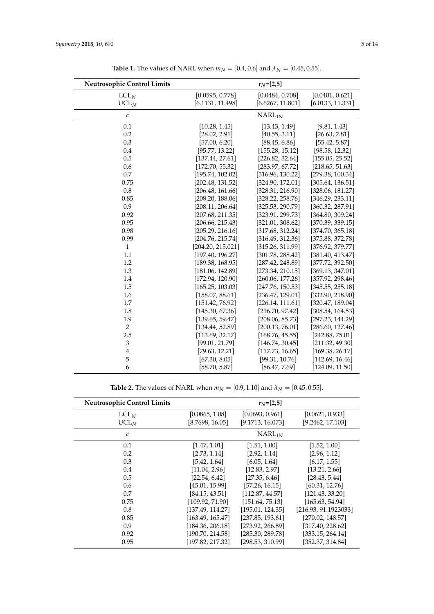<span id="page-4-0"></span>

| <b>Neutrosophic Control Limits</b> |                   | $r_N=[2,5]$        |                  |
|------------------------------------|-------------------|--------------------|------------------|
| $LCL_N$                            | [0.0595, 0.778]   | [0.0484, 0.708]    | [0.0401, 0.621]  |
| $UCL_N$                            | [6.1131, 11.498]  | [6.6267, 11.801]   | [6.0133, 11.331] |
| $\mathcal C$                       |                   | NARL <sub>1N</sub> |                  |
| 0.1                                | [10.28, 1.45]     | [13.43, 1.49]      | [9.81, 1.43]     |
| 0.2                                | [28.02, 2.91]     | [40.55, 3.11]      | [26.63, 2.81]    |
| 0.3                                | [57.00, 6.20]     | [88.45, 6.86]      | [55.42, 5.87]    |
| 0.4                                | [95.77, 13.22]    | [155.28, 15.12]    | [98.58, 12.32]   |
| 0.5                                | [137.44, 27.61]   | [226.82, 32.64]    | [155.05, 25.52]  |
| 0.6                                | [172.70, 55.32]   | [283.97, 67.72]    | [218.65, 51.63]  |
| 0.7                                | [195.74, 102.02]  | [316.96, 130.22]   | [279.38, 100.34] |
| 0.75                               | [202.48, 131.52]  | [324.90, 172.01]   | [305.64, 136.51] |
| 0.8                                | [206.48, 161.66]  | [328.31, 216.90]   | [328.06, 181.27] |
| 0.85                               | [208.20, 188.06]  | [328.22, 258.76]   | [346.29, 233.11] |
| 0.9                                | [208.11, 206.64]  | [325.53, 290.79]   | [360.32, 287.91] |
| 0.92                               | [207.68, 211.35]  | [323.91, 299.73]   | [364.80, 309.24] |
| 0.95                               | [206.66, 215.43]  | [321.01, 308.62]   | [370.39, 339.15] |
| 0.98                               | [205.29, 216.16]  | [317.68, 312.24]   | [374.70, 365.18] |
| 0.99                               | [204.76, 215.74]  | [316.49, 312.36]   | [375.88, 372.78] |
| $\mathbf{1}$                       | [204.20, 215.021] | [315.26, 311.99]   | [376.92, 379.77] |
| 1.1                                | [197.40, 196.27]  | [301.78, 288.42]   | [381.40, 413.47] |
| 1.2                                | [189.38, 168.95]  | [287.42, 248.89]   | [377.72, 392.50] |
| 1.3                                | [181.06, 142.89]  | [273.34, 210.15]   | [369.13, 347.01] |
| 1.4                                | [172.94, 120.90]  | [260.06, 177.26]   | [357.92, 298.46] |
| 1.5                                | [165.25, 103.03]  | [247.76, 150.53]   | [345.55, 255.18] |
| 1.6                                | [158.07, 88.61]   | [236.47, 129.01]   | [332.90, 218.90] |
| 1.7                                | [151.42, 76.92]   | [226.14, 111.61]   | [320.47, 189.04] |
| 1.8                                | [145.30, 67.36]   | [216.70, 97.42]    | [308.54, 164.53] |
| 1.9                                | [139.65, 59.47]   | [208.06, 85.73]    | [297.23, 144.29] |
| $\overline{2}$                     | [134.44, 52.89]   | [200.13, 76.01]    | [286.60, 127.46] |
| 2.5                                | [113.69, 32.17]   | [168.76, 45.55]    | [242.88, 75.01]  |
| $\ensuremath{\mathfrak{Z}}$        | [99.01, 21.79]    | [146.74, 30.45]    | [211.32, 49.30]  |
| $\overline{4}$                     | [79.63, 12.21]    | [117.73, 16.65]    | [169.38, 26.17]  |
| 5                                  | [67.30, 8.05]     | [99.31, 10.76]     | [142.69, 16.46]  |
| 6                                  | [58.70, 5.87]     | [86.47, 7.69]      | [124.09, 11.50]  |

**Table 1.** The values of NARL when  $m_N = [0.4, 0.6]$  and  $\lambda_N = [0.45, 0.55]$ .

**Table 2.** The values of NARL when  $m_N = [0.9, 1.10]$  and  $\lambda_N = [0.45, 0.55]$ .

| <b>Neutrosophic Control Limits</b> | $r_{N}$ =[2,5]     |                  |                      |  |
|------------------------------------|--------------------|------------------|----------------------|--|
| LCL <sub>N</sub>                   | [0.0865, 1.08]     | [0.0693, 0.961]  | [0.0621, 0.933]      |  |
| $UCL_N$                            | [8.7698, 16.05]    | [9.1713, 16.073] | [9.2462, 17.103]     |  |
| $\mathcal C$                       | NARL <sub>1N</sub> |                  |                      |  |
| 0.1                                | [1.47, 1.01]       | [1.51, 1.00]     | [1.52, 1.00]         |  |
| 0.2                                | [2.73, 1.14]       | [2.92, 1.14]     | [2.96, 1.12]         |  |
| 0.3                                | [5.42, 1.64]       | [6.05, 1.64]     | [6.17, 1.55]         |  |
| 0.4                                | [11.04, 2.96]      | [12.83, 2.97]    | [13.21, 2.66]        |  |
| 0.5                                | [22.54, 6.42]      | [27.35, 6.46]    | [28.43, 5.44]        |  |
| 0.6                                | [45.01, 15.99]     | [57.26, 16.15]   | [60.31, 12.76]       |  |
| 0.7                                | [84.15, 43.51]     | [112.87, 44.57]  | [121.43, 33.20]      |  |
| 0.75                               | [109.92, 71.90]    | [151.64, 75.13]  | [165.63, 54.94]      |  |
| 0.8                                | [137.49, 114.27]   | [195.01, 124.35] | [216.93, 91.1923033] |  |
| 0.85                               | [163.49, 165.47]   | [237.85, 193.61] | [270.02, 148.57]     |  |
| 0.9                                | [184.36, 206.18]   | [273.92, 266.89] | [317.40, 228.62]     |  |
| 0.92                               | [190.70, 214.58]   | [285.30, 289.78] | [333.15, 264.14]     |  |
| 0.95                               | [197.82, 217.32]   | [298.53, 310.99] | [352.37, 314.84]     |  |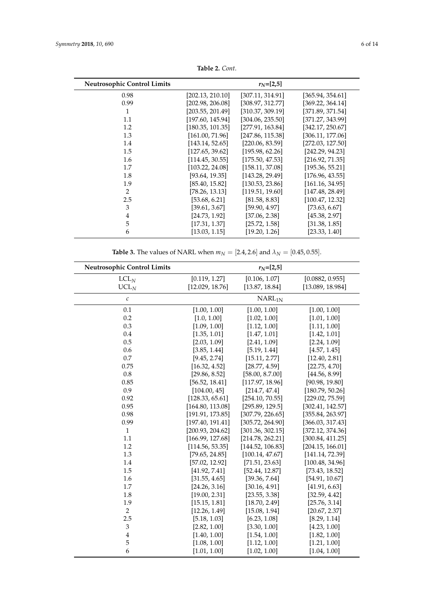| <b>Neutrosophic Control Limits</b> |                  | $r_{N}=[2,5]$    |                  |
|------------------------------------|------------------|------------------|------------------|
| 0.98                               | [202.13, 210.10] | [307.11, 314.91] | [365.94, 354.61] |
| 0.99                               | [202.98, 206.08] | [308.97, 312.77] | [369.22, 364.14] |
| 1                                  | [203.55, 201.49] | [310.37, 309.19] | [371.89, 371.54] |
| 1.1                                | [197.60, 145.94] | [304.06, 235.50] | [371.27, 343.99] |
| 1.2                                | [180.35, 101.35] | [277.91, 163.84] | [342.17, 250.67] |
| 1.3                                | [161.00, 71.96]  | [247.86, 115.38] | [306.11, 177.06] |
| 1.4                                | [143.14, 52.65]  | [220.06, 83.59]  | [272.03, 127.50] |
| 1.5                                | [127.65, 39.62]  | [195.98, 62.26]  | [242.29, 94.23]  |
| 1.6                                | [114.45, 30.55]  | [175.50, 47.53]  | [216.92, 71.35]  |
| 1.7                                | [103.22, 24.08]  | [158.11, 37.08]  | [195.36, 55.21]  |
| 1.8                                | [93.64, 19.35]   | [143.28, 29.49]  | [176.96, 43.55]  |
| 1.9                                | [85.40, 15.82]   | [130.53, 23.86]  | [161.16, 34.95]  |
| $\overline{2}$                     | [78.26, 13.13]   | [119.51, 19.60]  | [147.48, 28.49]  |
| 2.5                                | [53.68, 6.21]    | [81.58, 8.83]    | [100.47, 12.32]  |
| 3                                  | [39.61, 3.67]    | [59.90, 4.97]    | [73.63, 6.67]    |
| $\overline{4}$                     | [24.73, 1.92]    | [37.06, 2.38]    | [45.38, 2.97]    |
| 5                                  | [17.31, 1.37]    | [25.72, 1.58]    | [31.38, 1.85]    |
| 6                                  | [13.03, 1.15]    | [19.20, 1.26]    | [23.33, 1.40]    |

**Table 2.** *Cont*.

**Table 3.** The values of NARL when  $m_N = [2.4, 2.6]$  and  $\lambda_N = [0.45, 0.55]$ .

<span id="page-5-0"></span>

| Neutrosophic Control Limits | $r_N = [2, 5]$                   |                                 |                                     |  |
|-----------------------------|----------------------------------|---------------------------------|-------------------------------------|--|
| LCL <sub>N</sub><br>$UCL_N$ | [0.119, 1.27]<br>[12.029, 18.76] | [0.106, 1.07]<br>[13.87, 18.84] | [0.0882, 0.955]<br>[13.089, 18.984] |  |
| $\mathcal C$                | NARL <sub>1N</sub>               |                                 |                                     |  |
| 0.1                         | [1.00, 1.00]                     | [1.00, 1.00]                    | [1.00, 1.00]                        |  |
| 0.2                         | [1.0, 1.00]                      | [1.02, 1.00]                    | [1.01, 1.00]                        |  |
| 0.3                         | [1.09, 1.00]                     | [1.12, 1.00]                    | [1.11, 1.00]                        |  |
| 0.4                         | [1.35, 1.01]                     | [1.47, 1.01]                    | [1.42, 1.01]                        |  |
| 0.5                         | [2.03, 1.09]                     | [2.41, 1.09]                    | [2.24, 1.09]                        |  |
| 0.6                         | [3.85, 1.44]                     | [5.19, 1.44]                    | [4.57, 1.45]                        |  |
| 0.7                         | [9.45, 2.74]                     | [15.11, 2.77]                   | [12.40, 2.81]                       |  |
| 0.75                        | [16.32, 4.52]                    | [28.77, 4.59]                   | [22.75, 4.70]                       |  |
| 0.8                         | [29.86, 8.52]                    | [58.00, 8.7.00]                 | [44.56, 8.99]                       |  |
| 0.85                        | [56.52, 18.41]                   | [117.97, 18.96]                 | [90.98, 19.80]                      |  |
| 0.9                         | [104.00, 45]                     | [214.7, 47.4]                   | [180.79, 50.26]                     |  |
| 0.92                        | [128.33, 65.61]                  | [254.10, 70.55]                 | [229.02, 75.59]                     |  |
| 0.95                        | [164.80, 113.08]                 | [295.89, 129.5]                 | [302.41, 142.57]                    |  |
| 0.98                        | [191.91, 173.85]                 | [307.79, 226.65]                | [355.84, 263.97]                    |  |
| 0.99                        | [197.40, 191.41]                 | [305.72, 264.90]                | [366.03, 317.43]                    |  |
| $\mathbf{1}$                | [200.93, 204.62]                 | [301.36, 302.15]                | [372.12, 374.36]                    |  |
| 1.1                         | [166.99, 127.68]                 | [214.78, 262.21]                | [300.84, 411.25]                    |  |
| 1.2                         | [114.56, 53.35]                  | [144.52, 106.83]                | [204.15, 166.01]                    |  |
| 1.3                         | [79.65, 24.85]                   | [100.14, 47.67]                 | [141.14, 72.39]                     |  |
| 1.4                         | [57.02, 12.92]                   | [71.51, 23.63]                  | [100.48, 34.96]                     |  |
| 1.5                         | [41.92, 7.41]                    | [52.44, 12.87]                  | [73.43, 18.52]                      |  |
| 1.6                         | [31.55, 4.65]                    | [39.36, 7.64]                   | [54.91, 10.67]                      |  |
| 1.7                         | [24.26, 3.16]                    | [30.16, 4.91]                   | [41.91, 6.63]                       |  |
| 1.8                         | [19.00, 2.31]                    | [23.55, 3.38]                   | [32.59, 4.42]                       |  |
| 1.9                         | [15.15, 1.81]                    | [18.70, 2.49]                   | [25.76, 3.14]                       |  |
| $\overline{2}$              | [12.26, 1.49]                    | [15.08, 1.94]                   | [20.67, 2.37]                       |  |
| 2.5                         | [5.18, 1.03]                     | [6.23, 1.08]                    | [8.29, 1.14]                        |  |
| $\ensuremath{\mathsf{3}}$   | [2.82, 1.00]                     | [3.30, 1.00]                    | [4.23, 1.00]                        |  |
| $\overline{4}$              | [1.40, 1.00]                     | [1.54, 1.00]                    | [1.82, 1.00]                        |  |
| 5                           | [1.08, 1.00]                     | [1.12, 1.00]                    | [1.21, 1.00]                        |  |
| 6                           | [1.01, 1.00]                     | [1.02, 1.00]                    | [1.04, 1.00]                        |  |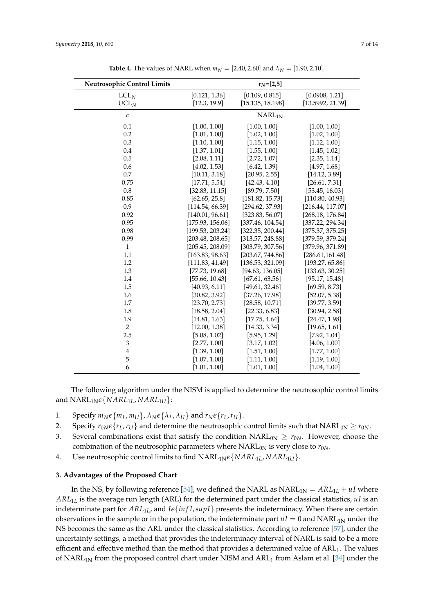<span id="page-6-1"></span>

| <b>Neutrosophic Control Limits</b> |                  | $r_N=[2,5]$        |                  |
|------------------------------------|------------------|--------------------|------------------|
| LCL <sub>N</sub>                   | [0.121, 1.36]    | [0.109, 0.815]     | [0.0908, 1.21]   |
| UCL <sub>N</sub>                   | [12.3, 19.9]     | [15.135, 18.198]   | [13.5992, 21.39] |
| $\mathcal C$                       |                  | NARL <sub>1N</sub> |                  |
| 0.1                                | [1.00, 1.00]     | [1.00, 1.00]       | [1.00, 1.00]     |
| 0.2                                | [1.01, 1.00]     | [1.02, 1.00]       | [1.02, 1.00]     |
| 0.3                                | [1.10, 1.00]     | [1.15, 1.00]       | [1.12, 1.00]     |
| 0.4                                | [1.37, 1.01]     | [1.55, 1.00]       | [1.45, 1.02]     |
| 0.5                                | [2.08, 1.11]     | [2.72, 1.07]       | [2.35, 1.14]     |
| 0.6                                | [4.02, 1.53]     | [6.42, 1.39]       | [4.97, 1.68]     |
| 0.7                                | [10.11, 3.18]    | [20.95, 2.55]      | [14.12, 3.89]    |
| 0.75                               | [17.71, 5.54]    | [42.43, 4.10]      | [26.61, 7.31]    |
| $0.8\,$                            | [32.83, 11.15]   | [89.79, 7.50]      | [53.45, 16.03]   |
| 0.85                               | [62.65, 25.8]    | [181.82, 15.73]    | [110.80, 40.93]  |
| 0.9                                | [114.54, 66.39]  | [294.62, 37.93]    | [216.44, 117.07] |
| 0.92                               | [140.01, 96.61]  | [323.83, 56.07]    | [268.18, 176.84] |
| 0.95                               | [175.93, 156.06] | [337.46, 104.54]   | [337.22, 294.34] |
| 0.98                               | [199.53, 203.24] | [322.35, 200.44]   | [375.37, 375.25] |
| 0.99                               | [203.48, 208.65] | [313.57, 248.88]   | [379.59, 379.24] |
| $\mathbf{1}$                       | [205.45, 208.09] | [303.79, 307.56]   | [379.96, 371.89] |
| 1.1                                | [163.83, 98.63]  | [203.67, 744.86]   | [286.61, 161.48] |
| 1.2                                | [111.83, 41.49]  | [136.53, 321.09]   | [193.27, 65.86]  |
| 1.3                                | [77.73, 19.68]   | [94.63, 136.05]    | [133.63, 30.25]  |
| 1.4                                | [55.66, 10.43]   | [67.61, 63.56]     | [95.17, 15.48]   |
| 1.5                                | [40.93, 6.11]    | [49.61, 32.46]     | [69.59, 8.73]    |
| 1.6                                | [30.82, 3.92]    | [37.26, 17.98]     | [52.07, 5.38]    |
| 1.7                                | [23.70, 2.73]    | [28.58, 10.71]     | [39.77, 3.59]    |
| 1.8                                | [18.58, 2.04]    | [22.33, 6.83]      | [30.94, 2.58]    |
| 1.9                                | [14.81, 1.63]    | [17.75, 4.64]      | [24.47, 1.98]    |
| $\boldsymbol{2}$                   | [12.00, 1.38]    | [14.33, 3.34]      | [19.65, 1.61]    |
| 2.5                                | [5.08, 1.02]     | [5.95, 1.29]       | [7.92, 1.04]     |
| $\ensuremath{\mathsf{3}}$          | [2.77, 1.00]     | [3.17, 1.02]       | [4.06, 1.00]     |
| 4                                  | [1.39, 1.00]     | [1.51, 1.00]       | [1.77, 1.00]     |
| 5                                  | [1.07, 1.00]     | [1.11, 1.00]       | [1.19, 1.00]     |
| 6                                  | [1.01, 1.00]     | [1.01, 1.00]       | [1.04, 1.00]     |

**Table 4.** The values of NARL when  $m_N = [2.40, 2.60]$  and  $\lambda_N = [1.90, 2.10]$ .

The following algorithm under the NISM is applied to determine the neutrosophic control limits and  $NARL<sub>1N</sub>\epsilon\{NARL<sub>1L</sub>, NARL<sub>1U</sub>\}$ :

- 1. Specify  $m_N \epsilon \{m_L, m_U\}$ ,  $\lambda_N \epsilon \{\lambda_L, \lambda_U\}$  and  $r_N \epsilon \{r_L, r_U\}$ .
- 2. Specify  $r_{0N}\epsilon\{r_L, r_U\}$  and determine the neutrosophic control limits such that  $NARL_{0N} \ge r_{0N}$ .
- 3. Several combinations exist that satisfy the condition  $NARL_{0N} \geq r_{0N}$ . However, choose the combination of the neutrosophic parameters where  $NARL<sub>0N</sub>$  is very close to  $r<sub>0N</sub>$ .
- 4. Use neutrosophic control limits to find NARL1N*e*{*NARL*1*L*, *NARL*1*U*}.

#### <span id="page-6-0"></span>**3. Advantages of the Proposed Chart**

In the NS, by following reference [\[54\]](#page-13-3), we defined the NARL as  $NARL_{1N} = ARL_{1L} + uI$  where *ARL*1*<sup>L</sup>* is the average run length (ARL) for the determined part under the classical statistics, *uI* is an indeterminate part for  $ARL<sub>1L</sub>$ , and  $I \epsilon \{infI, supI\}$  presents the indeterminacy. When there are certain observations in the sample or in the population, the indeterminate part  $uI = 0$  and  $NARL<sub>1N</sub>$  under the NS becomes the same as the ARL under the classical statistics. According to reference [\[57\]](#page-13-6), under the uncertainty settings, a method that provides the indeterminacy interval of NARL is said to be a more efficient and effective method than the method that provides a determined value of  $ARL<sub>1</sub>$ . The values of  $NARL<sub>1N</sub>$  from the proposed control chart under NISM and  $ARL<sub>1</sub>$  from Aslam et al. [\[34\]](#page-12-7) under the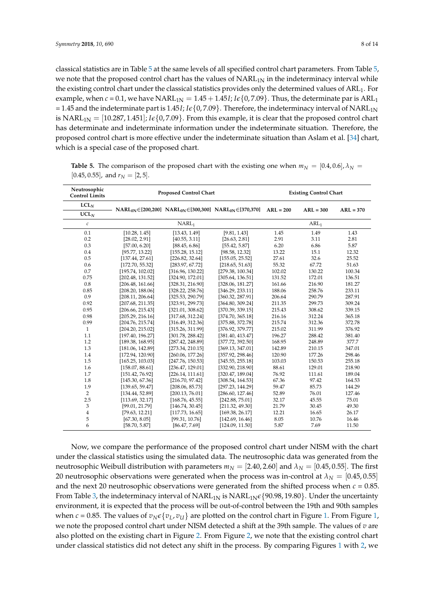classical statistics are in Table [5](#page-7-0) at the same levels of all specified control chart parameters. From Table [5,](#page-7-0) we note that the proposed control chart has the values of  $NARL<sub>1N</sub>$  in the indeterminacy interval while the existing control chart under the classical statistics provides only the determined values of ARL<sub>1</sub>. For example, when  $c = 0.1$ , we have  $NARL_{1N} = 1.45 + 1.45I$ ;  $I \epsilon \{0, 7.09\}$ . Thus, the determinate par is  $ARL_1$ = 1.45 and the indeterminate part is 1.45*I*; *Ie*{0,7.09}. Therefore, the indeterminacy interval of NARL<sub>1N</sub> is NARL<sub>1N</sub> =  $[10.287, 1.451]$ ; *Ie*{0,7.09}. From this example, it is clear that the proposed control chart has determinate and indeterminate information under the indeterminate situation. Therefore, the proposed control chart is more effective under the indeterminate situation than Aslam et al. [\[34\]](#page-12-7) chart, which is a special case of the proposed chart.

<span id="page-7-0"></span>**Table 5.** The comparison of the proposed chart with the existing one when  $m_N = [0.4, 0.6]$ ,  $\lambda_N =$  $[0.45, 0.55]$ , and  $r<sub>N</sub> = [2, 5]$ .

| Neutrosophic<br><b>Control Limits</b> | <b>Proposed Control Chart</b> |                   |                                                                                  |             | <b>Existing Control Chart</b> |             |
|---------------------------------------|-------------------------------|-------------------|----------------------------------------------------------------------------------|-------------|-------------------------------|-------------|
| LCL <sub>N</sub>                      |                               |                   |                                                                                  |             |                               |             |
| UCL <sub>N</sub>                      |                               |                   | $NARL_{0N} \in [200, 200]$ $NARL_{0N} \in [300, 300]$ $NARL_{0N} \in [370, 370]$ | $ARL = 200$ | $ARL = 300$                   | $ARL = 370$ |
| $\mathcal C$                          |                               | NARL <sub>1</sub> |                                                                                  |             | ARL <sub>1</sub>              |             |
| 0.1                                   | [10.28, 1.45]                 | [13.43, 1.49]     | [9.81, 1.43]                                                                     | 1.45        | 1.49                          | 1.43        |
| 0.2                                   | [28.02, 2.91]                 | [40.55, 3.11]     | [26.63, 2.81]                                                                    | 2.91        | 3.11                          | 2.81        |
| 0.3                                   | [57.00, 6.20]                 | [88.45, 6.86]     | [55.42, 5.87]                                                                    | 6.20        | 6.86                          | 5.87        |
| 0.4                                   | [95.77, 13.22]                | [155.28, 15.12]   | [98.58, 12.32]                                                                   | 13.22       | 15.1                          | 12.32       |
| 0.5                                   | [137.44, 27.61]               | [226.82, 32.64]   | [155.05, 25.52]                                                                  | 27.61       | 32.6                          | 25.52       |
| 0.6                                   | [172.70, 55.32]               | [283.97, 67.72]   | [218.65, 51.63]                                                                  | 55.32       | 67.72                         | 51.63       |
| 0.7                                   | [195.74, 102.02]              | [316.96, 130.22]  | [279.38, 100.34]                                                                 | 102.02      | 130.22                        | 100.34      |
| 0.75                                  | [202.48, 131.52]              | [324.90, 172.01]  | [305.64, 136.51]                                                                 | 131.52      | 172.01                        | 136.51      |
| 0.8                                   | [206.48, 161.66]              | [328.31, 216.90]  | [328.06, 181.27]                                                                 | 161.66      | 216.90                        | 181.27      |
| 0.85                                  | [208.20, 188.06]              | [328.22, 258.76]  | [346.29, 233.11]                                                                 | 188.06      | 258.76                        | 233.11      |
| 0.9                                   | [208.11, 206.64]              | [325.53, 290.79]  | [360.32, 287.91]                                                                 | 206.64      | 290.79                        | 287.91      |
| 0.92                                  | [207.68, 211.35]              | [323.91, 299.73]  | [364.80, 309.24]                                                                 | 211.35      | 299.73                        | 309.24      |
| 0.95                                  | [206.66, 215.43]              | [321.01, 308.62]  | [370.39, 339.15]                                                                 | 215.43      | 308.62                        | 339.15      |
| 0.98                                  | [205.29, 216.16]              | [317.68, 312.24]  | [374.70, 365.18]                                                                 | 216.16      | 312.24                        | 365.18      |
| 0.99                                  | [204.76, 215.74]              | [316.49, 312.36]  | [375.88, 372.78]                                                                 | 215.74      | 312.36                        | 372.78      |
| $\mathbf{1}$                          | [204.20, 215.02]              | [315.26, 311.99]  | [376.92, 379.77]                                                                 | 215.02      | 311.99                        | 376.92      |
| 1.1                                   | [197.40, 196.27]              | [301.78, 288.42]  | [381.40, 413.47]                                                                 | 196.27      | 288.42                        | 381.40      |
| 1.2                                   | [189.38, 168.95]              | [287.42, 248.89]  | [377.72, 392.50]                                                                 | 168.95      | 248.89                        | 377.7       |
| 1.3                                   | [181.06, 142.89]              | [273.34, 210.15]  | [369.13, 347.01]                                                                 | 142.89      | 210.15                        | 347.01      |
| 1.4                                   | [172.94, 120.90]              | [260.06, 177.26]  | [357.92, 298.46]                                                                 | 120.90      | 177.26                        | 298.46      |
| 1.5                                   | [165.25, 103.03]              | [247.76, 150.53]  | [345.55, 255.18]                                                                 | 103.03      | 150.53                        | 255.18      |
| 1.6                                   | [158.07, 88.61]               | [236.47, 129.01]  | [332.90, 218.90]                                                                 | 88.61       | 129.01                        | 218.90      |
| 1.7                                   | [151.42, 76.92]               | [226.14, 111.61]  | [320.47, 189.04]                                                                 | 76.92       | 111.61                        | 189.04      |
| 1.8                                   | [145.30, 67.36]               | [216.70, 97.42]   | [308.54, 164.53]                                                                 | 67.36       | 97.42                         | 164.53      |
| 1.9                                   | [139.65, 59.47]               | [208.06, 85.73]   | [297.23, 144.29]                                                                 | 59.47       | 85.73                         | 144.29      |
| $\overline{2}$                        | [134.44, 52.89]               | [200.13, 76.01]   | [286.60, 127.46]                                                                 | 52.89       | 76.01                         | 127.46      |
| 2.5                                   | [113.69, 32.17]               | [168.76, 45.55]   | [242.88, 75.01]                                                                  | 32.17       | 45.55                         | 75.01       |
| 3                                     | [99.01, 21.79]                | [146.74, 30.45]   | [211.32, 49.30]                                                                  | 21.79       | 30.45                         | 49.30       |
| $\overline{4}$                        | [79.63, 12.21]                | [117.73, 16.65]   | [169.38, 26.17]                                                                  | 12.21       | 16.65                         | 26.17       |
| 5                                     | [67.30, 8.05]                 | [99.31, 10.76]    | [142.69, 16.46]                                                                  | 8.05        | 10.76                         | 16.46       |
| 6                                     | [58.70, 5.87]                 | [86.47, 7.69]     | [124.09, 11.50]                                                                  | 5.87        | 7.69                          | 11.50       |

Now, we compare the performance of the proposed control chart under NISM with the chart under the classical statistics using the simulated data. The neutrosophic data was generated from the neutrosophic Weibull distribution with parameters  $m_N = [2.40, 2.60]$  and  $\lambda_N = [0.45, 0.55]$ . The first 20 neutrosophic observations were generated when the process was in-control at  $\lambda_N = [0.45, 0.55]$ and the next 20 neutrosophic observations were generated from the shifted process when  $c = 0.85$ . From Table [3,](#page-5-0) the indeterminacy interval of  $NARL_{1N}$  is  $NARL_{1N}\epsilon$  {90.98, 19.80}. Under the uncertainty environment, it is expected that the process will be out-of-control between the 19th and 90th samples when  $c = 0.85$ . The values of  $v_N \epsilon \{v_L, v_U\}$  are plotted on the control chart in Figure [1.](#page-8-1) From Figure [1,](#page-8-1) we note the proposed control chart under NISM detected a shift at the 39th sample. The values of *v* are also plotted on the existing chart in Figure [2.](#page-8-2) From Figure [2,](#page-8-2) we note that the existing control chart under classical statistics did not detect any shift in the process. By comparing Figures [1](#page-8-1) with [2,](#page-8-2) we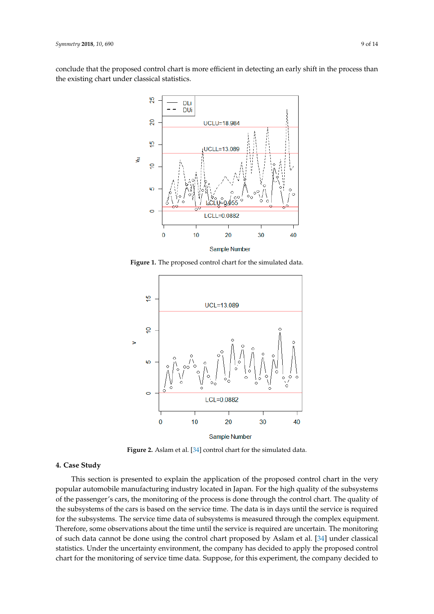<span id="page-8-1"></span>conclude that the proposed control chart is more efficient in detecting an early shift in the process than the existing chart under classical statistics.



**Figure 1.** The proposed control chart for the simulated data. **Figure 1.** The proposed control chart for the simulated data.

<span id="page-8-2"></span>

**Figure 2.** Aslam et al. [[34\]](#page-12-7) control chart for the simulated data.

#### <span id="page-8-0"></span>**4. Case Study**

This section is presented to explain the application of the proposed control chart in the very popular automobile manufacturing industry located in Japan. For the high quality of the subsystems of the passenger's cars, the monitoring of the process is done through the control chart. The quality of the subsystems of the cars is based on the service time. The data is in days until the service is required for the subsystems. The service time data of subsystems is measured through the complex equipment. Therefore, some observations about the time until the service is required are uncertain. The monitoring of such data cannot be done using the control chart proposed by Aslam et al. [\[34\]](#page-12-7) under classical statistics. Under the uncertainty environment, the company has decided to apply the proposed control chart for the monitoring of service time data. Suppose, for this experiment, the company decided to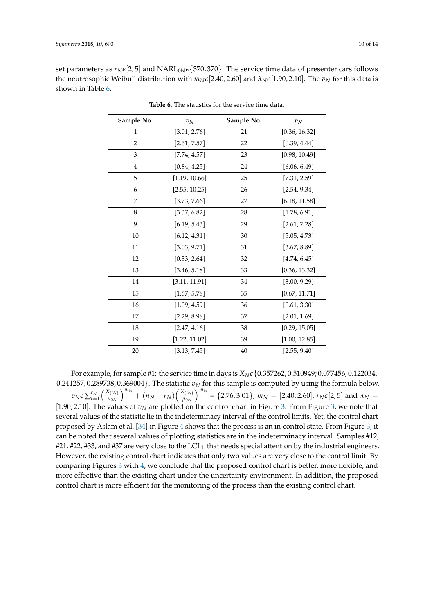<span id="page-9-0"></span>set parameters as  $r_N \epsilon [2, 5]$  and  $NARL_{0N} \epsilon \{370, 370\}$ . The service time data of presenter cars follows the neutrosophic Weibull distribution with  $m_N \epsilon$ [2.40, 2.60] and  $\lambda_N \epsilon$ [1.90, 2.10]. The  $v_N$  for this data is shown in Table [6.](#page-9-0)

| Sample No.     | $v_N$         | Sample No. | $v_N$         |
|----------------|---------------|------------|---------------|
| $\mathbf{1}$   | [3.01, 2.76]  | 21         | [0.36, 16.32] |
| $\overline{2}$ | [2.61, 7.57]  | 22         | [0.39, 4.44]  |
| 3              | [7.74, 4.57]  | 23         | [0.98, 10.49] |
| $\overline{4}$ | [0.84, 4.25]  | 24         | [6.06, 6.49]  |
| 5              | [1.19, 10.66] | 25         | [7.31, 2.59]  |
| 6              | [2.55, 10.25] | 26         | [2.54, 9.34]  |
| 7              | [3.73, 7.66]  | 27         | [6.18, 11.58] |
| 8              | [3.37, 6.82]  | 28         | [1.78, 6.91]  |
| 9              | [6.19, 5.43]  | 29         | [2.61, 7.28]  |
| 10             | [6.12, 4.31]  | 30         | [5.05, 4.73]  |
| 11             | [3.03, 9.71]  | 31         | [3.67, 8.89]  |
| 12             | [0.33, 2.64]  | 32         | [4.74, 6.45]  |
| 13             | [3.46, 5.18]  | 33         | [0.36, 13.32] |
| 14             | [3.11, 11.91] | 34         | [3.00, 9.29]  |
| 15             | [1.67, 5.78]  | 35         | [0.67, 11.71] |
| 16             | [1.09, 4.59]  | 36         | [0.61, 3.30]  |
| 17             | [2.29, 8.98]  | 37         | [2.01, 1.69]  |
| 18             | [2.47, 4.16]  | 38         | [0.29, 15.05] |
| 19             | [1.22, 11.02] | 39         | [1.00, 12.85] |
| 20             | [3.13, 7.45]  | 40         | [2.55, 9.40]  |

**Table 6.** The statistics for the service time data.

For example, for sample #1: the service time in days is *XNe*{0.357262, 0.510949; 0.077456, 0.122034,  $0.241257$ ,  $0.289738$ ,  $0.369004$ }. The statistic  $v_N$  for this sample is computed by using the formula below.  $v_N \epsilon \sum_{i=1}^{r_N} \left( \frac{X_{(iN)}}{\mu_{0N}} \right)$ *µ*0*N*  $\int^{m_N} + (n_N - r_N) \left( \frac{X_{(iN)}}{u_N} \right)$  $\mu_{0N}$  $\int^{m_N}$  = {2.76, 3.01};  $m_N$  = [2.40, 2.60],  $r_N \in [2, 5]$  and  $\lambda_N$  = [1.90, 2.10]. The values of  $v_N$  are plotted on the control chart in Figure [3.](#page-10-0) From Figure [3,](#page-10-0) we note that several values of the statistic lie in the indeterminacy interval of the control limits. Yet, the control chart proposed by Aslam et al. [\[34\]](#page-12-7) in Figure [4](#page-10-1) shows that the process is an in-control state. From Figure [3,](#page-10-0) it can be noted that several values of plotting statistics are in the indeterminacy interval. Samples #12,  $#21$ ,  $#22$ ,  $#33$ , and  $#37$  are very close to the LCL<sub>L</sub> that needs special attention by the industrial engineers. However, the existing control chart indicates that only two values are very close to the control limit. By comparing Figures [3](#page-10-0) with [4,](#page-10-1) we conclude that the proposed control chart is better, more flexible, and more effective than the existing chart under the uncertainty environment. In addition, the proposed control chart is more efficient for the monitoring of the process than the existing control chart.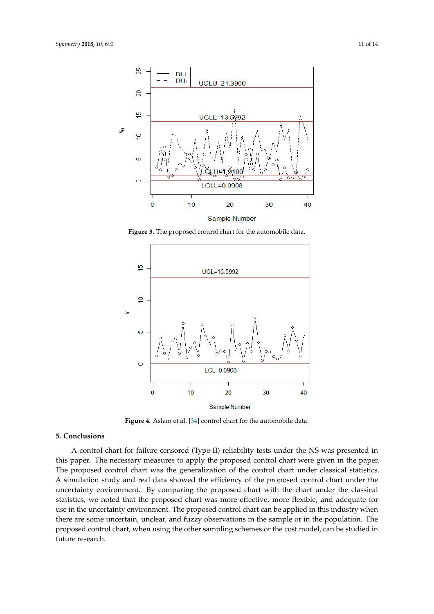<span id="page-10-0"></span>

**Figure 3.** The proposed control chart for the automobile data. **Figure 3.** The proposed control chart for the automobile data.

<span id="page-10-1"></span>

**Figure 4.** Aslam et al. [34] control chart for the automobile data. **Figure 4.** Aslam et al. [\[34\]](#page-12-7) control chart for the automobile data.

# **5. Conclusions 5. Conclusions**

A control chart for failure-censored (Type-II) reliability tests under the NS was presented in this paper. The necessary measures to apply the proposed control chart were given in the paper.<br>— The proposed control chart was the generalization of the control chart under classical statistics. A simulation study and real data showed the efficiency of the proposed control chart under the uncertainty environment. By comparing the proposed chart with the chart under the classical statistics, we noted that the proposed chart was more effective, more flexible, and adequate for use in the uncertainty environment. The proposed control chart can be applied in this industry when there are some uncertain, unclear, and fuzzy observations in the sample or in the population. The proposed control chart, when using the other sampling schemes or the cost model, can be studied in<br>. proposed control charter sampling sampling sampling sampling sampling schemes or the cost model, can be studied in the cost model, can be studied in the cost model, can be studied in the cost model, can be studied in the c future research. future research.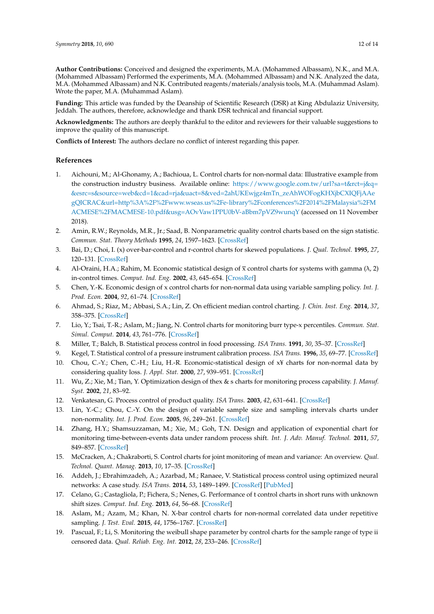**Author Contributions:** Conceived and designed the experiments, M.A. (Mohammed Albassam), N.K., and M.A. (Mohammed Albassam) Performed the experiments, M.A. (Mohammed Albassam) and N.K. Analyzed the data, M.A. (Mohammed Albassam) and N.K. Contributed reagents/materials/analysis tools, M.A. (Muhammad Aslam). Wrote the paper, M.A. (Muhammad Aslam).

**Funding:** This article was funded by the Deanship of Scientific Research (DSR) at King Abdulaziz University, Jeddah. The authors, therefore, acknowledge and thank DSR technical and financial support.

**Acknowledgments:** The authors are deeply thankful to the editor and reviewers for their valuable suggestions to improve the quality of this manuscript.

**Conflicts of Interest:** The authors declare no conflict of interest regarding this paper.

#### **References**

- <span id="page-11-0"></span>1. Aichouni, M.; Al-Ghonamy, A.; Bachioua, L. Control charts for non-normal data: Illustrative example from the construction industry business. Available online: [https://www.google.com.tw/url?sa=t&rct=j&q=](https://www.google.com.tw/url?sa=t&rct=j&q=&esrc=s&source=web&cd=1&cad=rja&uact=8&ved=2ahUKEwjgz4mTn_zeAhWOFogKHXjbCXIQFjAAe) [&esrc=s&source=web&cd=1&cad=rja&uact=8&ved=2ahUKEwjgz4mTn\\_zeAhWOFogKHXjbCXIQFjAAe](https://www.google.com.tw/url?sa=t&rct=j&q=&esrc=s&source=web&cd=1&cad=rja&uact=8&ved=2ahUKEwjgz4mTn_zeAhWOFogKHXjbCXIQFjAAe) <gQICRAC&url=http%3A%2F%2Fwww.wseas.us%2Fe-library%2Fconferences%2F2014%2FMalaysia%2FM> <ACMESE%2FMACMESE-10.pdf&usg=AOvVaw1PPU0bV-aBbm7pVZ9wunqY> (accessed on 11 November 2018).
- <span id="page-11-1"></span>2. Amin, R.W.; Reynolds, M.R., Jr.; Saad, B. Nonparametric quality control charts based on the sign statistic. *Commun. Stat. Theory Methods* **1995**, *24*, 1597–1623. [\[CrossRef\]](http://dx.doi.org/10.1080/03610929508831574)
- <span id="page-11-2"></span>3. Bai, D.; Choi, I. (x) over-bar-control and r-control charts for skewed populations. *J. Qual. Technol.* **1995**, *27*, 120–131. [\[CrossRef\]](http://dx.doi.org/10.1080/00224065.1995.11979575)
- <span id="page-11-3"></span>4. Al-Oraini, H.A.; Rahim, M. Economic statistical design of  $\bar{x}$  control charts for systems with gamma ( $\lambda$ , 2) in-control times. *Comput. Ind. Eng.* **2002**, *43*, 645–654. [\[CrossRef\]](http://dx.doi.org/10.1016/S0360-8352(02)00119-5)
- <span id="page-11-4"></span>5. Chen, Y.-K. Economic design of x control charts for non-normal data using variable sampling policy. *Int. J. Prod. Econ.* **2004**, *92*, 61–74. [\[CrossRef\]](http://dx.doi.org/10.1016/j.ijpe.2003.09.011)
- <span id="page-11-5"></span>6. Ahmad, S.; Riaz, M.; Abbasi, S.A.; Lin, Z. On efficient median control charting. *J. Chin. Inst. Eng.* **2014**, *37*, 358–375. [\[CrossRef\]](http://dx.doi.org/10.1080/02533839.2013.781794)
- <span id="page-11-6"></span>7. Lio, Y.; Tsai, T.-R.; Aslam, M.; Jiang, N. Control charts for monitoring burr type-x percentiles. *Commun. Stat. Simul. Comput.* **2014**, *43*, 761–776. [\[CrossRef\]](http://dx.doi.org/10.1080/03610918.2012.714033)
- <span id="page-11-7"></span>8. Miller, T.; Balch, B. Statistical process control in food processing. *ISA Trans.* **1991**, *30*, 35–37. [\[CrossRef\]](http://dx.doi.org/10.1016/0019-0578(91)90052-7)
- 9. Kegel, T. Statistical control of a pressure instrument calibration process. *ISA Trans.* **1996**, *35*, 69–77. [\[CrossRef\]](http://dx.doi.org/10.1016/0019-0578(96)00009-2)
- 10. Chou, C.-Y.; Chen, C.-H.; Liu, H.-R. Economic-statistical design of x¥ charts for non-normal data by considering quality loss. *J. Appl. Stat.* **2000**, *27*, 939–951. [\[CrossRef\]](http://dx.doi.org/10.1080/02664760050173274)
- 11. Wu, Z.; Xie, M.; Tian, Y. Optimization design of thex & s charts for monitoring process capability. *J. Manuf. Syst.* **2002**, *21*, 83–92.
- 12. Venkatesan, G. Process control of product quality. *ISA Trans.* **2003**, *42*, 631–641. [\[CrossRef\]](http://dx.doi.org/10.1016/S0019-0578(07)60011-1)
- 13. Lin, Y.-C.; Chou, C.-Y. On the design of variable sample size and sampling intervals charts under non-normality. *Int. J. Prod. Econ.* **2005**, *96*, 249–261. [\[CrossRef\]](http://dx.doi.org/10.1016/j.ijpe.2004.05.001)
- 14. Zhang, H.Y.; Shamsuzzaman, M.; Xie, M.; Goh, T.N. Design and application of exponential chart for monitoring time-between-events data under random process shift. *Int. J. Adv. Manuf. Technol.* **2011**, *57*, 849–857. [\[CrossRef\]](http://dx.doi.org/10.1007/s00170-011-3345-z)
- 15. McCracken, A.; Chakraborti, S. Control charts for joint monitoring of mean and variance: An overview. *Qual. Technol. Quant. Manag.* **2013**, *10*, 17–35. [\[CrossRef\]](http://dx.doi.org/10.1080/16843703.2013.11673306)
- 16. Addeh, J.; Ebrahimzadeh, A.; Azarbad, M.; Ranaee, V. Statistical process control using optimized neural networks: A case study. *ISA Trans.* **2014**, *53*, 1489–1499. [\[CrossRef\]](http://dx.doi.org/10.1016/j.isatra.2013.07.018) [\[PubMed\]](http://www.ncbi.nlm.nih.gov/pubmed/24210290)
- 17. Celano, G.; Castagliola, P.; Fichera, S.; Nenes, G. Performance of t control charts in short runs with unknown shift sizes. *Comput. Ind. Eng.* **2013**, *64*, 56–68. [\[CrossRef\]](http://dx.doi.org/10.1016/j.cie.2012.10.003)
- <span id="page-11-8"></span>18. Aslam, M.; Azam, M.; Khan, N. X-bar control charts for non-normal correlated data under repetitive sampling. *J. Test. Eval.* **2015**, *44*, 1756–1767. [\[CrossRef\]](http://dx.doi.org/10.1520/JTE20140290)
- <span id="page-11-9"></span>19. Pascual, F.; Li, S. Monitoring the weibull shape parameter by control charts for the sample range of type ii censored data. *Qual. Reliab. Eng. Int.* **2012**, *28*, 233–246. [\[CrossRef\]](http://dx.doi.org/10.1002/qre.1239)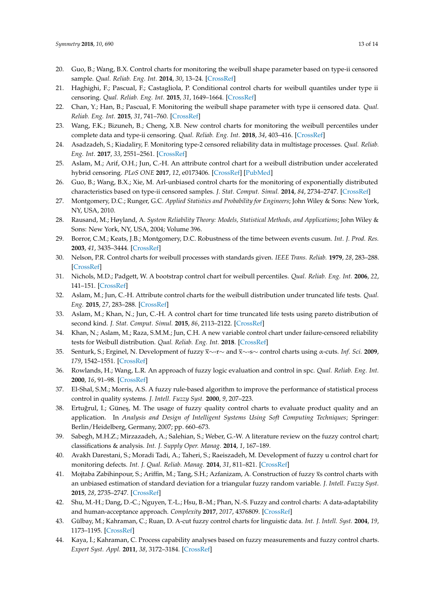- 20. Guo, B.; Wang, B.X. Control charts for monitoring the weibull shape parameter based on type-ii censored sample. *Qual. Reliab. Eng. Int.* **2014**, *30*, 13–24. [\[CrossRef\]](http://dx.doi.org/10.1002/qre.1473)
- 21. Haghighi, F.; Pascual, F.; Castagliola, P. Conditional control charts for weibull quantiles under type ii censoring. *Qual. Reliab. Eng. Int.* **2015**, *31*, 1649–1664. [\[CrossRef\]](http://dx.doi.org/10.1002/qre.1698)
- 22. Chan, Y.; Han, B.; Pascual, F. Monitoring the weibull shape parameter with type ii censored data. *Qual. Reliab. Eng. Int.* **2015**, *31*, 741–760. [\[CrossRef\]](http://dx.doi.org/10.1002/qre.1631)
- 23. Wang, F.K.; Bizuneh, B.; Cheng, X.B. New control charts for monitoring the weibull percentiles under complete data and type-ii censoring. *Qual. Reliab. Eng. Int.* **2018**, *34*, 403–416. [\[CrossRef\]](http://dx.doi.org/10.1002/qre.2261)
- 24. Asadzadeh, S.; Kiadaliry, F. Monitoring type-2 censored reliability data in multistage processes. *Qual. Reliab. Eng. Int.* **2017**, *33*, 2551–2561. [\[CrossRef\]](http://dx.doi.org/10.1002/qre.2217)
- 25. Aslam, M.; Arif, O.H.; Jun, C.-H. An attribute control chart for a weibull distribution under accelerated hybrid censoring. *PLoS ONE* **2017**, *12*, e0173406. [\[CrossRef\]](http://dx.doi.org/10.1371/journal.pone.0173406) [\[PubMed\]](http://www.ncbi.nlm.nih.gov/pubmed/28257479)
- <span id="page-12-0"></span>26. Guo, B.; Wang, B.X.; Xie, M. Arl-unbiased control charts for the monitoring of exponentially distributed characteristics based on type-ii censored samples. *J. Stat. Comput. Simul.* **2014**, *84*, 2734–2747. [\[CrossRef\]](http://dx.doi.org/10.1080/00949655.2014.898766)
- <span id="page-12-1"></span>27. Montgomery, D.C.; Runger, G.C. *Applied Statistics and Probability for Engineers*; John Wiley & Sons: New York, NY, USA, 2010.
- 28. Rausand, M.; Høyland, A. *System Reliability Theory: Models, Statistical Methods, and Applications*; John Wiley & Sons: New York, NY, USA, 2004; Volume 396.
- <span id="page-12-2"></span>29. Borror, C.M.; Keats, J.B.; Montgomery, D.C. Robustness of the time between events cusum. *Int. J. Prod. Res.* **2003**, *41*, 3435–3444. [\[CrossRef\]](http://dx.doi.org/10.1080/0020754031000138321)
- <span id="page-12-3"></span>30. Nelson, P.R. Control charts for weibull processes with standards given. *IEEE Trans. Reliab.* **1979**, *28*, 283–288. [\[CrossRef\]](http://dx.doi.org/10.1109/TR.1979.5220605)
- <span id="page-12-4"></span>31. Nichols, M.D.; Padgett, W. A bootstrap control chart for weibull percentiles. *Qual. Reliab. Eng. Int.* **2006**, *22*, 141–151. [\[CrossRef\]](http://dx.doi.org/10.1002/qre.691)
- <span id="page-12-5"></span>32. Aslam, M.; Jun, C.-H. Attribute control charts for the weibull distribution under truncated life tests. *Qual. Eng.* **2015**, *27*, 283–288. [\[CrossRef\]](http://dx.doi.org/10.1080/08982112.2015.1017649)
- <span id="page-12-6"></span>33. Aslam, M.; Khan, N.; Jun, C.-H. A control chart for time truncated life tests using pareto distribution of second kind. *J. Stat. Comput. Simul.* **2015**, *86*, 2113–2122. [\[CrossRef\]](http://dx.doi.org/10.1080/00949655.2015.1103737)
- <span id="page-12-7"></span>34. Khan, N.; Aslam, M.; Raza, S.M.M.; Jun, C.H. A new variable control chart under failure-censored reliability tests for Weibull distribution. *Qual. Reliab. Eng. Int.* **2018**. [\[CrossRef\]](http://dx.doi.org/10.1002/qre.2422)
- <span id="page-12-8"></span>35. Senturk, S.; Erginel, N. Development of fuzzy x∼-r∼ and x∼-s∼ control charts using α-cuts. *Inf. Sci.* **2009**, *179*, 1542–1551. [\[CrossRef\]](http://dx.doi.org/10.1016/j.ins.2008.09.022)
- <span id="page-12-9"></span>36. Rowlands, H.; Wang, L.R. An approach of fuzzy logic evaluation and control in spc. *Qual. Reliab. Eng. Int.* **2000**, *16*, 91–98. [\[CrossRef\]](http://dx.doi.org/10.1002/(SICI)1099-1638(200003/04)16:2<91::AID-QRE307>3.0.CO;2-9)
- <span id="page-12-10"></span>37. El-Shal, S.M.; Morris, A.S. A fuzzy rule-based algorithm to improve the performance of statistical process control in quality systems. *J. Intell. Fuzzy Syst.* **2000**, *9*, 207–223.
- <span id="page-12-11"></span>38. Ertuğrul, I.; Güneş, M. The usage of fuzzy quality control charts to evaluate product quality and an application. In *Analysis and Design of Intelligent Systems Using Soft Computing Techniques*; Springer: Berlin/Heidelberg, Germany, 2007; pp. 660–673.
- <span id="page-12-12"></span>39. Sabegh, M.H.Z.; Mirzazadeh, A.; Salehian, S.; Weber, G.-W. A literature review on the fuzzy control chart; classifications & analysis. *Int. J. Supply Oper. Manag.* **2014**, *1*, 167–189.
- <span id="page-12-13"></span>40. Avakh Darestani, S.; Moradi Tadi, A.; Taheri, S.; Raeiszadeh, M. Development of fuzzy u control chart for monitoring defects. *Int. J. Qual. Reliab. Manag.* **2014**, *31*, 811–821. [\[CrossRef\]](http://dx.doi.org/10.1108/IJQRM-03-2013-0048)
- <span id="page-12-14"></span>41. Mojtaba Zabihinpour, S.; Ariffin, M.; Tang, S.H.; Azfanizam, A. Construction of fuzzy xs control charts with an unbiased estimation of standard deviation for a triangular fuzzy random variable. *J. Intell. Fuzzy Syst.* **2015**, *28*, 2735–2747. [\[CrossRef\]](http://dx.doi.org/10.3233/IFS-151551)
- <span id="page-12-15"></span>42. Shu, M.-H.; Dang, D.-C.; Nguyen, T.-L.; Hsu, B.-M.; Phan, N.-S. Fuzzy and control charts: A data-adaptability and human-acceptance approach. *Complexity* **2017**, *2017*, 4376809. [\[CrossRef\]](http://dx.doi.org/10.1155/2017/4376809)
- <span id="page-12-16"></span>43. Gülbay, M.; Kahraman, C.; Ruan, D. A-cut fuzzy control charts for linguistic data. *Int. J. Intell. Syst.* **2004**, *19*, 1173–1195. [\[CrossRef\]](http://dx.doi.org/10.1002/int.20044)
- 44. Kaya, İ.; Kahraman, C. Process capability analyses based on fuzzy measurements and fuzzy control charts. *Expert Syst. Appl.* **2011**, *38*, 3172–3184. [\[CrossRef\]](http://dx.doi.org/10.1016/j.eswa.2010.09.004)